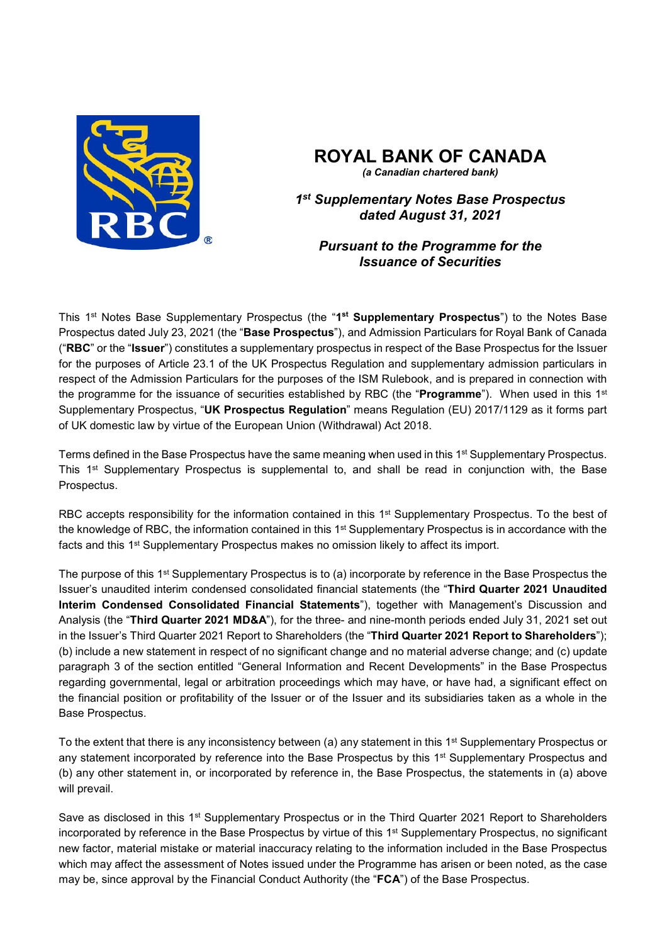

# **ROYAL BANK OF CANADA**

*(a Canadian chartered bank)*

*1st Supplementary Notes Base Prospectus dated August 31, 2021* 

# *Pursuant to the Programme for the Issuance of Securities*

This 1st Notes Base Supplementary Prospectus (the "**1st Supplementary Prospectus**") to the Notes Base Prospectus dated July 23, 2021 (the "**Base Prospectus**"), and Admission Particulars for Royal Bank of Canada ("**RBC**" or the "**Issuer**") constitutes a supplementary prospectus in respect of the Base Prospectus for the Issuer for the purposes of Article 23.1 of the UK Prospectus Regulation and supplementary admission particulars in respect of the Admission Particulars for the purposes of the ISM Rulebook, and is prepared in connection with the programme for the issuance of securities established by RBC (the "**Programme**"). When used in this 1st Supplementary Prospectus, "**UK Prospectus Regulation**" means Regulation (EU) 2017/1129 as it forms part of UK domestic law by virtue of the European Union (Withdrawal) Act 2018.

Terms defined in the Base Prospectus have the same meaning when used in this 1<sup>st</sup> Supplementary Prospectus. This 1<sup>st</sup> Supplementary Prospectus is supplemental to, and shall be read in conjunction with, the Base Prospectus.

RBC accepts responsibility for the information contained in this 1<sup>st</sup> Supplementary Prospectus. To the best of the knowledge of RBC, the information contained in this 1<sup>st</sup> Supplementary Prospectus is in accordance with the facts and this 1<sup>st</sup> Supplementary Prospectus makes no omission likely to affect its import.

The purpose of this 1<sup>st</sup> Supplementary Prospectus is to (a) incorporate by reference in the Base Prospectus the Issuer's unaudited interim condensed consolidated financial statements (the "**Third Quarter 2021 Unaudited Interim Condensed Consolidated Financial Statements**"), together with Management's Discussion and Analysis (the "**Third Quarter 2021 MD&A**"), for the three- and nine-month periods ended July 31, 2021 set out in the Issuer's Third Quarter 2021 Report to Shareholders (the "**Third Quarter 2021 Report to Shareholders**"); (b) include a new statement in respect of no significant change and no material adverse change; and (c) update paragraph 3 of the section entitled "General Information and Recent Developments" in the Base Prospectus regarding governmental, legal or arbitration proceedings which may have, or have had, a significant effect on the financial position or profitability of the Issuer or of the Issuer and its subsidiaries taken as a whole in the Base Prospectus.

To the extent that there is any inconsistency between (a) any statement in this 1<sup>st</sup> Supplementary Prospectus or any statement incorporated by reference into the Base Prospectus by this 1<sup>st</sup> Supplementary Prospectus and (b) any other statement in, or incorporated by reference in, the Base Prospectus, the statements in (a) above will prevail.

Save as disclosed in this 1<sup>st</sup> Supplementary Prospectus or in the Third Quarter 2021 Report to Shareholders incorporated by reference in the Base Prospectus by virtue of this 1<sup>st</sup> Supplementary Prospectus, no significant new factor, material mistake or material inaccuracy relating to the information included in the Base Prospectus which may affect the assessment of Notes issued under the Programme has arisen or been noted, as the case may be, since approval by the Financial Conduct Authority (the "**FCA**") of the Base Prospectus.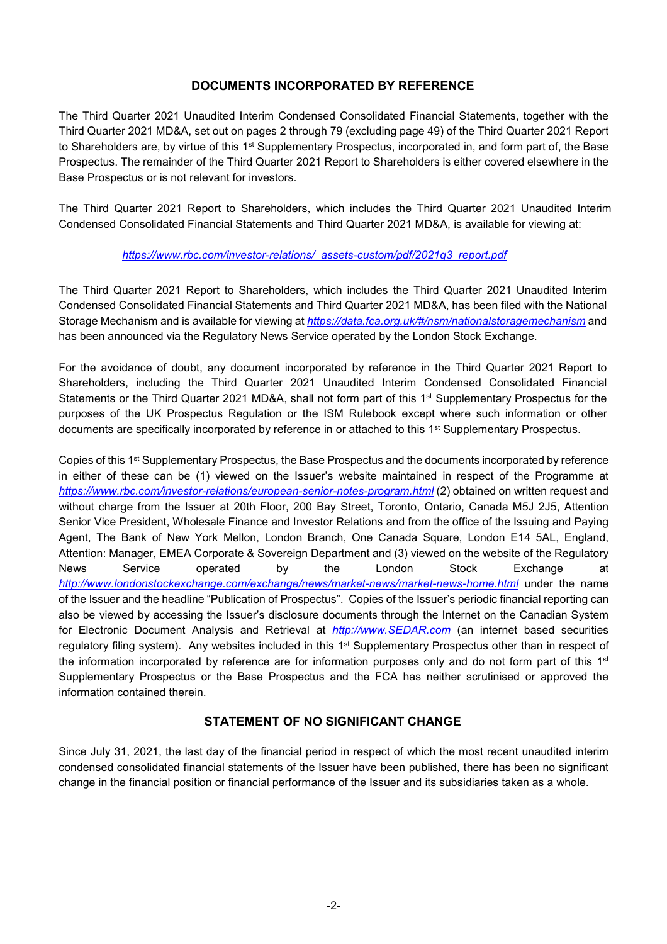### **DOCUMENTS INCORPORATED BY REFERENCE**

The Third Quarter 2021 Unaudited Interim Condensed Consolidated Financial Statements, together with the Third Quarter 2021 MD&A, set out on pages 2 through 79 (excluding page 49) of the Third Quarter 2021 Report to Shareholders are, by virtue of this 1<sup>st</sup> Supplementary Prospectus, incorporated in, and form part of, the Base Prospectus. The remainder of the Third Quarter 2021 Report to Shareholders is either covered elsewhere in the Base Prospectus or is not relevant for investors.

The Third Quarter 2021 Report to Shareholders, which includes the Third Quarter 2021 Unaudited Interim Condensed Consolidated Financial Statements and Third Quarter 2021 MD&A, is available for viewing at:

#### *https://www.rbc.com/investor-relations/\_assets-custom/pdf/2021q3\_report.pdf*

The Third Quarter 2021 Report to Shareholders, which includes the Third Quarter 2021 Unaudited Interim Condensed Consolidated Financial Statements and Third Quarter 2021 MD&A, has been filed with the National Storage Mechanism and is available for viewing at *https://data.fca.org.uk/#/nsm/nationalstoragemechanism* and has been announced via the Regulatory News Service operated by the London Stock Exchange.

For the avoidance of doubt, any document incorporated by reference in the Third Quarter 2021 Report to Shareholders, including the Third Quarter 2021 Unaudited Interim Condensed Consolidated Financial Statements or the Third Quarter 2021 MD&A, shall not form part of this 1<sup>st</sup> Supplementary Prospectus for the purposes of the UK Prospectus Regulation or the ISM Rulebook except where such information or other documents are specifically incorporated by reference in or attached to this 1st Supplementary Prospectus.

Copies of this 1<sup>st</sup> Supplementary Prospectus, the Base Prospectus and the documents incorporated by reference in either of these can be (1) viewed on the Issuer's website maintained in respect of the Programme at *https://www.rbc.com/investor-relations/european-senior-notes-program.html* (2) obtained on written request and without charge from the Issuer at 20th Floor, 200 Bay Street, Toronto, Ontario, Canada M5J 2J5, Attention Senior Vice President, Wholesale Finance and Investor Relations and from the office of the Issuing and Paying Agent, The Bank of New York Mellon, London Branch, One Canada Square, London E14 5AL, England, Attention: Manager, EMEA Corporate & Sovereign Department and (3) viewed on the website of the Regulatory News Service operated by the London Stock Exchange at http://www.londonstockexchange.com/exchange/news/market-news/market-news-home.html under the name of the Issuer and the headline "Publication of Prospectus". Copies of the Issuer's periodic financial reporting can also be viewed by accessing the Issuer's disclosure documents through the Internet on the Canadian System for Electronic Document Analysis and Retrieval at *http://www.SEDAR.com* (an internet based securities regulatory filing system). Any websites included in this 1<sup>st</sup> Supplementary Prospectus other than in respect of the information incorporated by reference are for information purposes only and do not form part of this 1<sup>st</sup> Supplementary Prospectus or the Base Prospectus and the FCA has neither scrutinised or approved the information contained therein.

# **STATEMENT OF NO SIGNIFICANT CHANGE**

Since July 31, 2021, the last day of the financial period in respect of which the most recent unaudited interim condensed consolidated financial statements of the Issuer have been published, there has been no significant change in the financial position or financial performance of the Issuer and its subsidiaries taken as a whole.